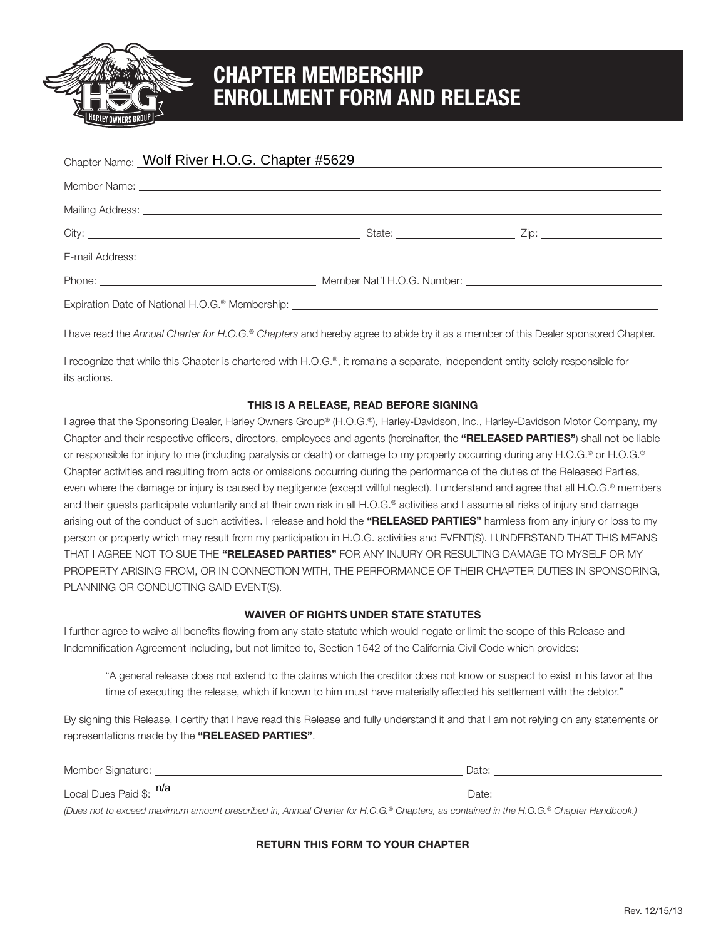

# **CHAPTER MEMBERSHIP ENROLLMENT FORM AND RELEASE**

| Chapter Name: Wolf River H.O.G. Chapter #5629 | and the control of the control of the control of the control of the control of the control of the control of the |  |
|-----------------------------------------------|------------------------------------------------------------------------------------------------------------------|--|
|                                               |                                                                                                                  |  |
|                                               |                                                                                                                  |  |
|                                               |                                                                                                                  |  |
|                                               |                                                                                                                  |  |
|                                               |                                                                                                                  |  |
|                                               |                                                                                                                  |  |

I have read the *Annual Charter for H.O.G.® Chapters* and hereby agree to abide by it as a member of this Dealer sponsored Chapter.

I recognize that while this Chapter is chartered with H.O.G.®, it remains a separate, independent entity solely responsible for its actions.

### **THIS IS A RELEASE, READ BEFORE SIGNING**

I agree that the Sponsoring Dealer, Harley Owners Group® (H.O.G.®), Harley-Davidson, Inc., Harley-Davidson Motor Company, my Chapter and their respective officers, directors, employees and agents (hereinafter, the **"RELEASED PARTIES"**) shall not be liable or responsible for injury to me (including paralysis or death) or damage to my property occurring during any H.O.G.® or H.O.G.® Chapter activities and resulting from acts or omissions occurring during the performance of the duties of the Released Parties, even where the damage or injury is caused by negligence (except willful neglect). I understand and agree that all H.O.G.® members and their guests participate voluntarily and at their own risk in all H.O.G.® activities and I assume all risks of injury and damage arising out of the conduct of such activities. I release and hold the **"RELEASED PARTIES"** harmless from any injury or loss to my person or property which may result from my participation in H.O.G. activities and EVENT(S). I UNDERSTAND THAT THIS MEANS THAT I AGREE NOT TO SUE THE **"RELEASED PARTIES"** FOR ANY INJURY OR RESULTING DAMAGE TO MYSELF OR MY PROPERTY ARISING FROM, OR IN CONNECTION WITH, THE PERFORMANCE OF THEIR CHAPTER DUTIES IN SPONSORING, PLANNING OR CONDUCTING SAID EVENT(S). Molf River H.O.G. Chapter #5629<br>
Member<br>
Member<br>
Inval Charter for H.O.G.® Chapters and hereby<br>
Inval Charter for H.O.G.® Chapters and hereby<br>
thile this Chapter is chartered with H.O.G.®, it<br> **THIS IS A RELEASE,**<br>
ponsori

#### **WAIVER OF RIGHTS UNDER STATE STATUTES**

I further agree to waive all benefits flowing from any state statute which would negate or limit the scope of this Release and Indemnification Agreement including, but not limited to, Section 1542 of the California Civil Code which provides:

 "A general release does not extend to the claims which the creditor does not know or suspect to exist in his favor at the time of executing the release, which if known to him must have materially affected his settlement with the debtor."

By signing this Release, I certify that I have read this Release and fully understand it and that I am not relying on any statements or representations made by the **"RELEASED PARTIES"**.

| Member Signature: _     | Date: |
|-------------------------|-------|
| Local Dues Paid \$: n/a | Date: |

*(Dues not to exceed maximum amount prescribed in, Annual Charter for H.O.G.® Chapters, as contained in the H.O.G.® Chapter Handbook.)*

### **RETURN THIS FORM TO YOUR CHAPTER**